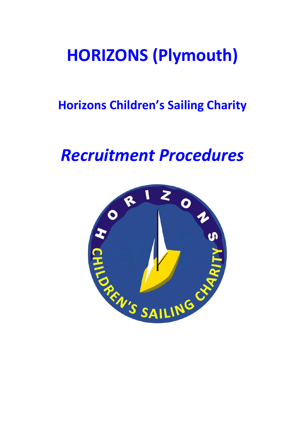# **HORIZONS (Plymouth)**

## **Horizons Children's Sailing Charity**

## <span id="page-0-0"></span>*Recruitment Procedures*

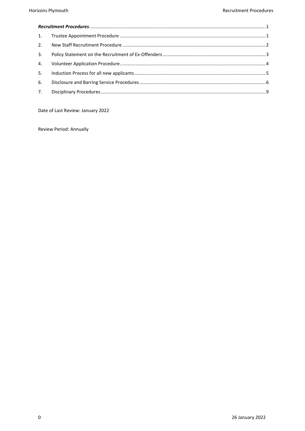| 3. |  |  |
|----|--|--|
|    |  |  |
| 5. |  |  |
| 6. |  |  |
|    |  |  |

Date of Last Review: January 2022

Review Period: Annually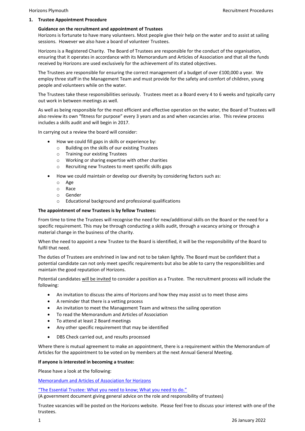#### <span id="page-2-0"></span>**1. Trustee Appointment Procedure**

#### **Guidance on the recruitment and appointment of Trustees**

Horizons is fortunate to have many volunteers. Most people give their help on the water and to assist at sailing sessions. However we also have a board of volunteer Trustees.

Horizons is a Registered Charity. The Board of Trustees are responsible for the conduct of the organisation, ensuring that it operates in accordance with its Memorandum and Articles of Association and that all the funds received by Horizons are used exclusively for the achievement of its stated objectives.

The Trustees are responsible for ensuring the correct management of a budget of over £100,000 a year. We employ three staff in the Management Team and must provide for the safety and comfort of children, young people and volunteers while on the water.

The Trustees take these responsibilities seriously. Trustees meet as a Board every 4 to 6 weeks and typically carry out work in between meetings as well.

As well as being responsible for the most efficient and effective operation on the water, the Board of Trustees will also review its own "fitness for purpose" every 3 years and as and when vacancies arise. This review process includes a skills audit and will begin in 2017.

In carrying out a review the board will consider:

- How we could fill gaps in skills or experience by:
	- o Building on the skills of our existing Trustees
	- o Training our existing Trustees
	- o Working or sharing expertise with other charities
	- o Recruiting new Trustees to meet specific skills gaps
- How we could maintain or develop our diversity by considering factors such as:
	- o Age
	- o Race
	- o Gender
	- o Educational background and professional qualifications

#### **The appointment of new Trustees is by fellow Trustees:**

From time to time the Trustees will recognise the need for new/additional skills on the Board or the need for a specific requirement. This may be through conducting a skills audit, through a vacancy arising or through a material change in the business of the charity.

When the need to appoint a new Trustee to the Board is identified, it will be the responsibility of the Board to fulfil that need.

The duties of Trustees are enshrined in law and not to be taken lightly. The Board must be confident that a potential candidate can not only meet specific requirements but also be able to carry the responsibilities and maintain the good reputation of Horizons.

Potential candidates will be invited to consider a position as a Trustee. The recruitment process will include the following:

- An invitation to discuss the aims of Horizons and how they may assist us to meet those aims
- A reminder that there is a vetting process
- An invitation to meet the Management Team and witness the sailing operation
- To read the Memorandum and Articles of Association
- To attend at least 2 Board meetings
- Any other specific requirement that may be identified
- DBS Check carried out, and results processed

Where there is mutual agreement to make an appointment, there is a requirement within the Memorandum of Articles for the appointment to be voted on by members at the next Annual General Meeting.

#### **If anyone is interested in becoming a trustee:**

Please have a look at the following:

[Memorandum and Articles](http://horizonsplymouth.org/wp-content/uploads/2014/12/Memorandum-and-Articles-Amended-26-02-15.pdf) of Association for Horizons

["The Essential Trustee: What you need to know; What you need to do."](https://www.gov.uk/government/uploads/system/uploads/attachment_data/file/570398/CC3.pdf)

(A government document giving general advice on the role and responsibility of trustees)

Trustee vacancies will be posted on the Horizons website. Please feel free to discuss your interest with one of the trustees.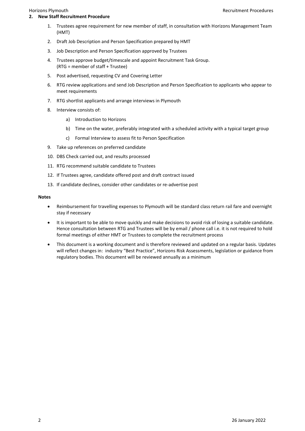- <span id="page-3-0"></span>1. Trustees agree requirement for new member of staff, in consultation with Horizons Management Team (HMT)
- 2. Draft Job Description and Person Specification prepared by HMT
- 3. Job Description and Person Specification approved by Trustees
- 4. Trustees approve budget/timescale and appoint Recruitment Task Group. (RTG = member of staff + Trustee)
- 5. Post advertised, requesting CV and Covering Letter
- 6. RTG review applications and send Job Description and Person Specification to applicants who appear to meet requirements
- 7. RTG shortlist applicants and arrange interviews in Plymouth
- 8. Interview consists of:
	- a) Introduction to Horizons
	- b) Time on the water, preferably integrated with a scheduled activity with a typical target group
	- c) Formal Interview to assess fit to Person Specification
- 9. Take up references on preferred candidate
- 10. DBS Check carried out, and results processed
- 11. RTG recommend suitable candidate to Trustees
- 12. If Trustees agree, candidate offered post and draft contract issued
- 13. If candidate declines, consider other candidates or re-advertise post

#### **Notes**

- Reimbursement for travelling expenses to Plymouth will be standard class return rail fare and overnight stay if necessary
- It is important to be able to move quickly and make decisions to avoid risk of losing a suitable candidate. Hence consultation between RTG and Trustees will be by email / phone call i.e. it is not required to hold formal meetings of either HMT or Trustees to complete the recruitment process
- This document is a working document and is therefore reviewed and updated on a regular basis. Updates will reflect changes in: industry "Best Practice", Horizons Risk Assessments, legislation or guidance from regulatory bodies. This document will be reviewed annually as a minimum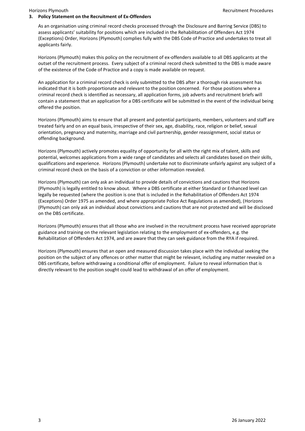#### <span id="page-4-0"></span>**3. Policy Statement on the Recruitment of Ex-Offenders**

As an organisation using criminal record checks processed through the Disclosure and Barring Service (DBS) to assess applicants' suitability for positions which are included in the Rehabilitation of Offenders Act 1974 (Exceptions) Order, Horizons (Plymouth) complies fully with the DBS Code of Practice and undertakes to treat all applicants fairly.

Horizons (Plymouth) makes this policy on the recruitment of ex-offenders available to all DBS applicants at the outset of the recruitment process. Every subject of a criminal record check submitted to the DBS is made aware of the existence of the Code of Practice and a copy is made available on request.

An application for a criminal record check is only submitted to the DBS after a thorough risk assessment has indicated that it is both proportionate and relevant to the position concerned. For those positions where a criminal record check is identified as necessary, all application forms, job adverts and recruitment briefs will contain a statement that an application for a DBS certificate will be submitted in the event of the individual being offered the position.

Horizons (Plymouth) aims to ensure that all present and potential participants, members, volunteers and staff are treated fairly and on an equal basis, irrespective of their sex, age, disability, race, religion or belief, sexual orientation, pregnancy and maternity, marriage and civil partnership, gender reassignment, social status or offending background.

Horizons (Plymouth) actively promotes equality of opportunity for all with the right mix of talent, skills and potential, welcomes applications from a wide range of candidates and selects all candidates based on their skills, qualifications and experience. Horizons (Plymouth) undertake not to discriminate unfairly against any subject of a criminal record check on the basis of a conviction or other information revealed.

Horizons (Plymouth) can only ask an individual to provide details of convictions and cautions that Horizons (Plymouth) is legally entitled to know about. Where a DBS certificate at either Standard or Enhanced level can legally be requested (where the position is one that is included in the Rehabilitation of Offenders Act 1974 (Exceptions) Order 1975 as amended, and where appropriate Police Act Regulations as amended), (Horizons (Plymouth) can only ask an individual about convictions and cautions that are not protected and will be disclosed on the DBS certificate.

Horizons (Plymouth) ensures that all those who are involved in the recruitment process have received appropriate guidance and training on the relevant legislation relating to the employment of ex-offenders, e.g. the Rehabilitation of Offenders Act 1974, and are aware that they can seek guidance from the RYA if required.

Horizons (Plymouth) ensures that an open and measured discussion takes place with the individual seeking the position on the subject of any offences or other matter that might be relevant, including any matter revealed on a DBS certificate, before withdrawing a conditional offer of employment. Failure to reveal information that is directly relevant to the position sought could lead to withdrawal of an offer of employment.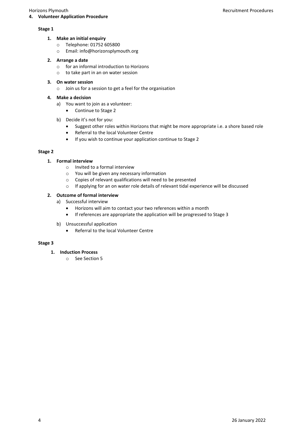## <span id="page-5-0"></span>**4. Volunteer Application Procedure**

#### **Stage 1**

- **1. Make an initial enquiry**
	- o Telephone: 01752 605800
	- o Email: info@horizonsplymouth.org

## **2. Arrange a date**

- o for an informal introduction to Horizons
- o to take part in an on water session

### **3. On water session**

o Join us for a session to get a feel for the organisation

#### **4. Make a decision**

- a) You want to join as a volunteer:
	- Continue to Stage 2
- b) Decide it's not for you:
	- Suggest other roles within Horizons that might be more appropriate i.e. a shore based role
	- Referral to the local Volunteer Centre
	- If you wish to continue your application continue to Stage 2

### **Stage 2**

### **1. Formal interview**

- o Invited to a formal interview
- o You will be given any necessary information
- o Copies of relevant qualifications will need to be presented
- o If applying for an on water role details of relevant tidal experience will be discussed

### **2. Outcome of formal interview**

- a) Successful interview
	- Horizons will aim to contact your two references within a month
	- If references are appropriate the application will be progressed to Stage 3
- b) Unsuccessful application
	- Referral to the local Volunteer Centre

#### **Stage 3**

- **1. Induction Process**
	- o See Section 5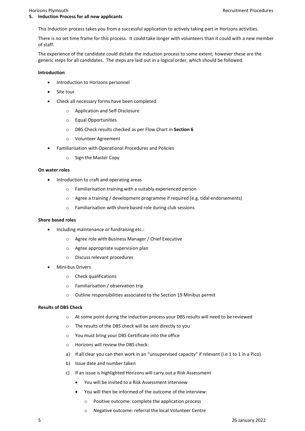<span id="page-6-0"></span>This Induction process takes you from a successful application to actively taking part in Horizons activities.

There is no set time frame for this process. It could take longer with volunteers than it could with a new member of staff.

The experience of the candidate could dictate the induction process to some extent; however these are the generic steps for all candidates. The steps are laid out in a logical order, which should be followed.

#### **Introduction**

- Introduction to Horizons personnel
- Site tour
- Check all necessary forms have been completed
	- o Application and Self-Disclosure
	- o Equal Opportunities
	- o DBS Check results checked as per Flow Chart in **Section 6**
	- o Volunteer Agreement
- Familiarisation with Operational Procedures and Policies
	- o Sign the Master Copy

### **On water roles**

- Introduction to craft and operating areas
	- o Familiarisation training with a suitably experienced person
	- o Agree a training / development programme if required (e.g. tidal endorsements)
	- o Familiarisation with shore based role during club sessions

#### **Shore based roles**

- Including maintenance or fundraising etc.:
	- o Agree role with Business Manager / Chief Executive
	- o Agree appropriate supervision plan
	- o Discuss relevant procedures
- Mini-bus Drivers
	- o Check qualifications
	- o Familiarisation / observation trip
	- o Outline responsibilities associated to the Section 19 Minibus permit

#### **Results of DBS Check**

- o At some point during the induction process your DBS results will need to be reviewed
- o The results of the DBS check will be sent directly to you
- o You must bring your DBS Certificate into the office
- o Horizons will review the DBS check:
- a) If all clear you can then work in an "unsupervised capacity" if relevant (i.e 1 to 1 in a Pico)
- b) Issue date and number taken
- c) If an issue is highlighted Horizons will carry out a Risk Assessment
	- You will be invited to a Risk Assessment interview
	- You will then be informed of the outcome of the interview:
		- o Positive outcome: complete the application process
		- o Negative outcome: referral the local Volunteer Centre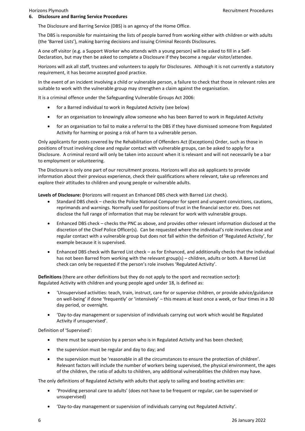<span id="page-7-0"></span>The Disclosure and Barring Service (DBS) is an agency of the Home Office.

The DBS is responsible for maintaining the lists of people barred from working either with children or with adults (the 'Barred Lists'), making barring decisions and issuing Criminal Records Disclosures.

A one off visitor (e.g. a Support Worker who attends with a young person) will be asked to fill in a Self-Declaration, but may then be asked to complete a Disclosure if they become a regular visitor/attendee.

Horizons will ask all staff, trustees and volunteers to apply for Disclosures. Although it is not currently a statutory requirement, it has become accepted good practice.

In the event of an incident involving a child or vulnerable person, a failure to check that those in relevant roles are suitable to work with the vulnerable group may strengthen a claim against the organisation.

It is a criminal offence under the Safeguarding Vulnerable Groups Act 2006:

- for a Barred individual to work in Regulated Activity (see below)
- for an organisation to knowingly allow someone who has been Barred to work in Regulated Activity
- for an organisation to fail to make a referral to the DBS if they have dismissed someone from Regulated Activity for harming or posing a risk of harm to a vulnerable person.

Only applicants for posts covered by the Rehabilitation of Offenders Act (Exceptions) Order, such as those in positions of trust involving close and regular contact with vulnerable groups, can be asked to apply for a Disclosure. A criminal record will only be taken into account when it is relevant and will not necessarily be a bar to employment or volunteering.

The Disclosure is only one part of our recruitment process. Horizons will also ask applicants to provide information about their previous experience, check their qualifications where relevant, take up references and explore their attitudes to children and young people or vulnerable adults.

**Levels of Disclosure: (**Horizons will request an Enhanced DBS check with Barred List check).

- Standard DBS check checks the Police National Computer for spent and unspent convictions, cautions, reprimands and warnings. Normally used for positions of trust in the financial sector etc. Does not disclose the full range of information that may be relevant for work with vulnerable groups.
- Enhanced DBS check checks the PNC as above, and provides other relevant information disclosed at the discretion of the Chief Police Officer(s). Can be requested where the individual's role involves close and regular contact with a vulnerable group but does not fall within the definition of 'Regulated Activity', for example because it is supervised.
- Enhanced DBS check with Barred List check as for Enhanced, and additionally checks that the individual has not been Barred from working with the relevant group(s) – children, adults or both. A Barred List check can only be requested if the person's role involves 'Regulated Activity'.

**Definitions** (there are other definitions but they do not apply to the sport and recreation sector**):** Regulated Activity with children and young people aged under 18, is defined as:

- 'Unsupervised activities: teach, train, instruct, care for or supervise children, or provide advice/guidance on well-being' if done 'frequently' or 'intensively' – this means at least once a week, or four times in a 30 day period, or overnight.
- 'Day-to-day management or supervision of individuals carrying out work which would be Regulated Activity if unsupervised'.

Definition of 'Supervised':

- there must be supervision by a person who is in Regulated Activity and has been checked;
- the supervision must be regular and day to day; and
- the supervision must be 'reasonable in all the circumstances to ensure the protection of children'. Relevant factors will include the number of workers being supervised, the physical environment, the ages of the children, the ratio of adults to children, any additional vulnerabilities the children may have.

The only definitions of Regulated Activity with adults that apply to sailing and boating activities are:

- 'Providing personal care to adults' (does not have to be frequent or regular, can be supervised or unsupervised)
- 'Day-to-day management or supervision of individuals carrying out Regulated Activity'.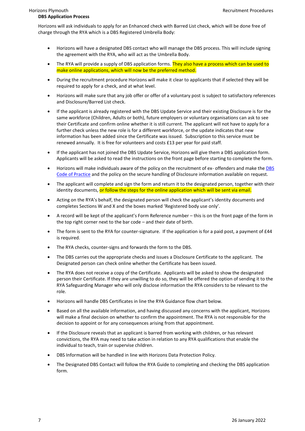Horizons will ask individuals to apply for an Enhanced check with Barred List check, which will be done free of charge through the RYA which is a DBS Registered Umbrella Body:

- Horizons will have a designated DBS contact who will manage the DBS process. This will include signing the agreement with the RYA, who will act as the Umbrella Body.
- The RYA will provide a supply of DBS application forms. They also have a process which can be used to make online applications, which will now be the preferred method.
- During the recruitment procedure Horizons will make it clear to applicants that if selected they will be required to apply for a check, and at what level.
- Horizons will make sure that any job offer or offer of a voluntary post is subject to satisfactory references and Disclosure/Barred List check.
- If the applicant is already registered with the DBS Update Service and their existing Disclosure is for the same workforce (Children, Adults or both), future employers or voluntary organisations can ask to see their Certificate and confirm online whether it is still current. The applicant will not have to apply for a further check unless the new role is for a different workforce, or the update indicates that new information has been added since the Certificate was issued. Subscription to this service must be renewed annually. It is free for volunteers and costs £13 per year for paid staff.
- If the applicant has not joined the DBS Update Service, Horizons will give them a DBS application form. Applicants will be asked to read the instructions on the front page before starting to complete the form.
- Horizons will make individuals aware of the policy on the recruitment of ex- offenders and make th[e DBS](https://www.gov.uk/government/publications/dbs-code-of-practice)  [Code of Practice](https://www.gov.uk/government/publications/dbs-code-of-practice) and the policy on the secure handling of Disclosure information available on request.
- The applicant will complete and sign the form and return it to the designated person, together with their identity documents, or follow the steps for the online application which will be sent via email.
- Acting on the RYA's behalf, the designated person will check the applicant's identity documents and completes Sections W and X and the boxes marked 'Registered body use only'.
- A record will be kept of the applicant's Form Reference number this is on the front page of the form in the top right corner next to the bar code – and their date of birth.
- The form is sent to the RYA for counter-signature. If the application is for a paid post, a payment of £44 is required.
- The RYA checks, counter-signs and forwards the form to the DBS.
- The DBS carries out the appropriate checks and issues a Disclosure Certificate to the applicant. The Designated person can check online whether the Certificate has been issued.
- The RYA does not receive a copy of the Certificate. Applicants will be asked to show the designated person their Certificate. If they are unwilling to do so, they will be offered the option of sending it to the RYA Safeguarding Manager who will only disclose information the RYA considers to be relevant to the role.
- Horizons will handle DBS Certificates in line the RYA Guidance flow chart below.
- Based on all the available information, and having discussed any concerns with the applicant, Horizons will make a final decision on whether to confirm the appointment. The RYA is not responsible for the decision to appoint or for any consequences arising from that appointment.
- If the Disclosure reveals that an applicant is barred from working with children, or has relevant convictions, the RYA may need to take action in relation to any RYA qualifications that enable the individual to teach, train or supervise children.
- DBS Information will be handled in line with Horizons Data Protection Policy.
- The Designated DBS Contact will follow the RYA Guide to completing and checking the DBS application form.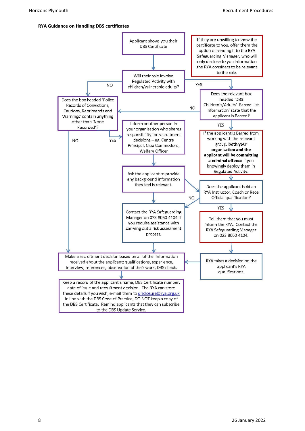#### **RYA Guidance on Handling DBS certificates**

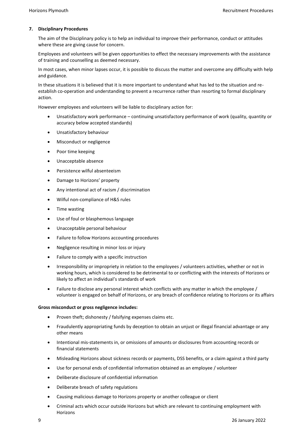#### <span id="page-10-0"></span>**7. Disciplinary Procedures**

The aim of the Disciplinary policy is to help an individual to improve their performance, conduct or attitudes where these are giving cause for concern.

Employees and volunteers will be given opportunities to effect the necessary improvements with the assistance of training and counselling as deemed necessary.

In most cases, when minor lapses occur, it is possible to discuss the matter and overcome any difficulty with help and guidance.

In these situations it is believed that it is more important to understand what has led to the situation and reestablish co-operation and understanding to prevent a recurrence rather than resorting to formal disciplinary action.

However employees and volunteers will be liable to disciplinary action for:

- Unsatisfactory work performance continuing unsatisfactory performance of work (quality, quantity or accuracy below accepted standards)
- Unsatisfactory behaviour
- Misconduct or negligence
- Poor time keeping
- Unacceptable absence
- Persistence wilful absenteeism
- Damage to Horizons' property
- Any intentional act of racism / discrimination
- Wilful non-compliance of H&S rules
- Time wasting
- Use of foul or blasphemous language
- Unacceptable personal behaviour
- Failure to follow Horizons accounting procedures
- Negligence resulting in minor loss or injury
- Failure to comply with a specific instruction
- Irresponsibility or impropriety in relation to the employees / volunteers activities, whether or not in working hours, which is considered to be detrimental to or conflicting with the interests of Horizons or likely to affect an individual's standards of work
- Failure to disclose any personal interest which conflicts with any matter in which the employee / volunteer is engaged on behalf of Horizons, or any breach of confidence relating to Horizons or its affairs

#### **Gross misconduct or gross negligence includes:**

- Proven theft; dishonesty / falsifying expenses claims etc.
- Fraudulently appropriating funds by deception to obtain an unjust or illegal financial advantage or any other means
- Intentional mis-statements in, or omissions of amounts or disclosures from accounting records or financial statements
- Misleading Horizons about sickness records or payments, DSS benefits, or a claim against a third party
- Use for personal ends of confidential information obtained as an employee / volunteer
- Deliberate disclosure of confidential information
- Deliberate breach of safety regulations
- Causing malicious damage to Horizons property or another colleague or client
- Criminal acts which occur outside Horizons but which are relevant to continuing employment with Horizons